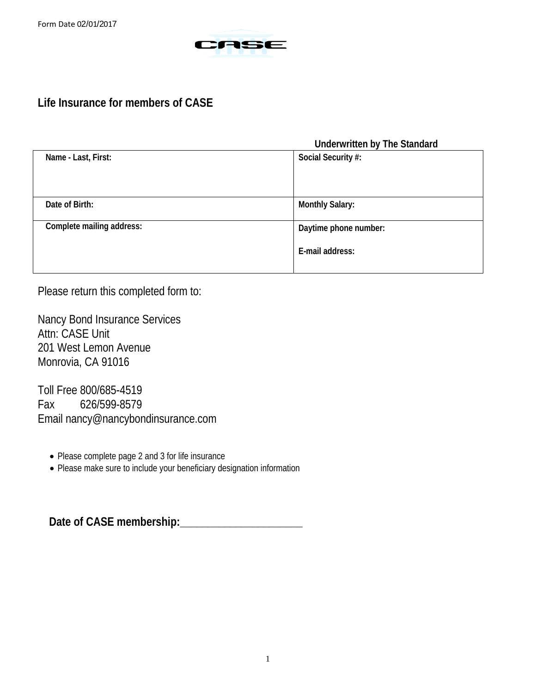

# **Life Insurance for members of CASE**

### **Underwritten by The Standard**

| Name - Last, First:       | Social Security #:     |
|---------------------------|------------------------|
| Date of Birth:            | <b>Monthly Salary:</b> |
| Complete mailing address: | Daytime phone number:  |
|                           | E-mail address:        |

Please return this completed form to:

Nancy Bond Insurance Services Attn: CASE Unit 201 West Lemon Avenue Monrovia, CA 91016

Toll Free 800/685-4519 Fax 626/599-8579 Email nancy@nancybondinsurance.com

- Please complete page 2 and 3 for life insurance
- Please make sure to include your beneficiary designation information

 **Date of CASE membership:\_\_\_\_\_\_\_\_\_\_\_\_\_\_\_\_\_\_\_\_\_\_**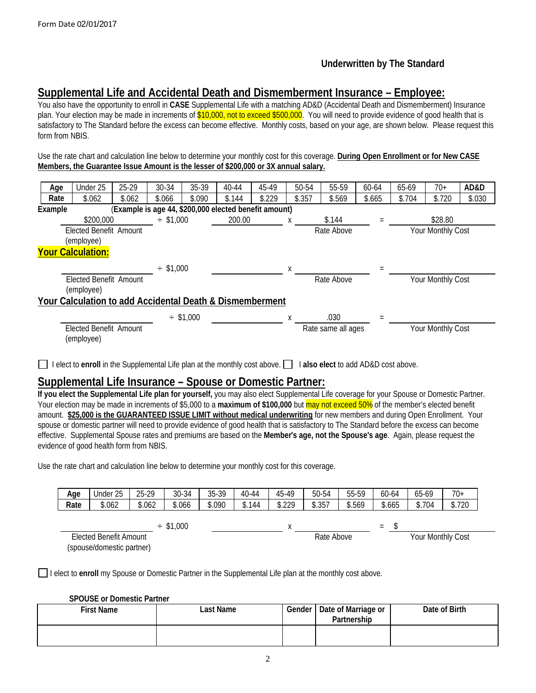### **Underwritten by The Standard**

## **Supplemental Life and Accidental Death and Dismemberment Insurance – Employee:**

You also have the opportunity to enroll in **CASE** Supplemental Life with a matching AD&D (Accidental Death and Dismemberment) Insurance plan. Your election may be made in increments of \$10,000, not to exceed \$500,000. You will need to provide evidence of good health that is satisfactory to The Standard before the excess can become effective. Monthly costs, based on your age, are shown below. Please request this form from NBIS.

Use the rate chart and calculation line below to determine your monthly cost for this coverage. **During Open Enrollment or for New CASE Members, the Guarantee Issue Amount is the lesser of \$200,000 or 3X annual salary.**

| Age     | Under 25                                                 | 25-29  | 30-34          | 35-39       | 40-44                                                 | 45-49  | 50-54  | 55-59              | 60-64  | 65-69  | $70+$             | AD&D   |
|---------|----------------------------------------------------------|--------|----------------|-------------|-------------------------------------------------------|--------|--------|--------------------|--------|--------|-------------------|--------|
| Rate    | \$.062                                                   | \$.062 | \$.066         | \$.090      | \$.144                                                | \$.229 | \$.357 | \$.569             | \$.665 | \$.704 | \$.720            | \$.030 |
| Example |                                                          |        |                |             | (Example is age 44, \$200,000 elected benefit amount) |        |        |                    |        |        |                   |        |
|         | \$200,000                                                |        | $\div$ \$1,000 |             | 200.00                                                |        | х      | \$.144             |        |        | \$28.80           |        |
|         | <b>Elected Benefit Amount</b>                            |        |                |             |                                                       |        |        | Rate Above         |        |        | Your Monthly Cost |        |
|         | (employee)                                               |        |                |             |                                                       |        |        |                    |        |        |                   |        |
|         | <b>Your Calculation:</b>                                 |        |                |             |                                                       |        |        |                    |        |        |                   |        |
|         |                                                          |        |                |             |                                                       |        |        |                    |        |        |                   |        |
|         |                                                          |        | $\div$ \$1,000 |             |                                                       |        | X      |                    |        |        |                   |        |
|         | Elected Benefit Amount                                   |        |                |             |                                                       |        |        | Rate Above         |        |        | Your Monthly Cost |        |
|         | (employee)                                               |        |                |             |                                                       |        |        |                    |        |        |                   |        |
|         | Your Calculation to add Accidental Death & Dismemberment |        |                |             |                                                       |        |        |                    |        |        |                   |        |
|         |                                                          |        |                | $-$ \$1,000 |                                                       |        | X      | .030               |        |        |                   |        |
|         |                                                          |        |                |             |                                                       |        |        |                    |        |        |                   |        |
|         | <b>Elected Benefit Amount</b>                            |        |                |             |                                                       |        |        | Rate same all ages |        |        | Your Monthly Cost |        |
|         | (employee)                                               |        |                |             |                                                       |        |        |                    |        |        |                   |        |
|         |                                                          |        |                |             |                                                       |        |        |                    |        |        |                   |        |

I elect to **enroll** in the Supplemental Life plan at the monthly cost above. I **also elect** to add AD&D cost above.

## **Supplemental Life Insurance – Spouse or Domestic Partner:**

**If you elect the Supplemental Life plan for yourself,** you may also elect Supplemental Life coverage for your Spouse or Domestic Partner. Your election may be made in increments of \$5,000 to a **maximum of \$100,000** but may not exceed 50% of the member's elected benefit amount. **\$25,000 is the GUARANTEED ISSUE LIMIT without medical underwriting** for new members and during Open Enrollment. Your spouse or domestic partner will need to provide evidence of good health that is satisfactory to The Standard before the excess can become effective. Supplemental Spouse rates and premiums are based on the **Member's age, not the Spouse's age**. Again, please request the evidence of good health form from NBIS.

Use the rate chart and calculation line below to determine your monthly cost for this coverage.

| Age                                                 | Under 25 | 25-29  | 30-34       | 35-39  | $40 - 44$  | 45-49       | 50-54  | 55-59             | 60-64  | 65-69  | 70+    |
|-----------------------------------------------------|----------|--------|-------------|--------|------------|-------------|--------|-------------------|--------|--------|--------|
| Rate                                                | \$.062   | \$.062 | \$.066      | \$.090 | \$.144     | \$.229      | \$.357 | \$.569            | \$.665 | \$.704 | \$.720 |
|                                                     |          |        |             |        |            |             |        |                   |        |        |        |
|                                                     |          |        | $-$ \$1,000 |        |            | $\mathbf v$ |        |                   | $=$    |        |        |
| Elected Benefit Amount<br>(spouse/domestic partner) |          |        |             |        | Rate Above |             |        | Your Monthly Cost |        |        |        |

I elect to **enroll** my Spouse or Domestic Partner in the Supplemental Life plan at the monthly cost above.

#### **SPOUSE or Domestic Partner**

| <b>First Name</b> | ∟ast Name | Gender I | Date of Marriage or<br>Partnership | Date of Birth |
|-------------------|-----------|----------|------------------------------------|---------------|
|                   |           |          |                                    |               |